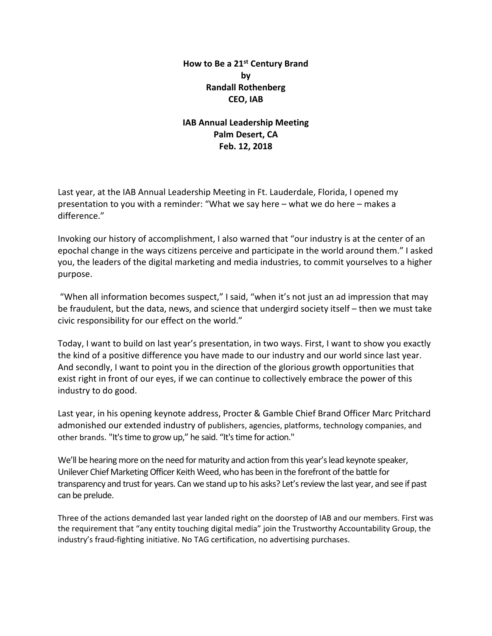# **How to Be a 21st Century Brand by Randall Rothenberg CEO, IAB**

# **IAB Annual Leadership Meeting Palm Desert, CA Feb. 12, 2018**

Last year, at the IAB Annual Leadership Meeting in Ft. Lauderdale, Florida, I opened my presentation to you with a reminder: "What we say here – what we do here – makes a difference."

Invoking our history of accomplishment, I also warned that "our industry is at the center of an epochal change in the ways citizens perceive and participate in the world around them." I asked you, the leaders of the digital marketing and media industries, to commit yourselves to a higher purpose.

"When all information becomes suspect," I said, "when it's not just an ad impression that may be fraudulent, but the data, news, and science that undergird society itself – then we must take civic responsibility for our effect on the world."

Today, I want to build on last year's presentation, in two ways. First, I want to show you exactly the kind of a positive difference you have made to our industry and our world since last year. And secondly, I want to point you in the direction of the glorious growth opportunities that exist right in front of our eyes, if we can continue to collectively embrace the power of this industry to do good.

Last year, in his opening keynote address, Procter & Gamble Chief Brand Officer Marc Pritchard admonished our extended industry of publishers, agencies, platforms, technology companies, and other brands. "It's time to grow up," he said. "It's time for action."

We'll be hearing more on the need for maturity and action from this year's lead keynote speaker, Unilever Chief Marketing Officer Keith Weed, who has been in the forefront of the battle for transparency and trust for years. Can we stand up to his asks? Let's review the last year, and see if past can be prelude.

Three of the actions demanded last year landed right on the doorstep of IAB and our members. First was the requirement that "any entity touching digital media" join the Trustworthy Accountability Group, the industry's fraud-fighting initiative. No TAG certification, no advertising purchases.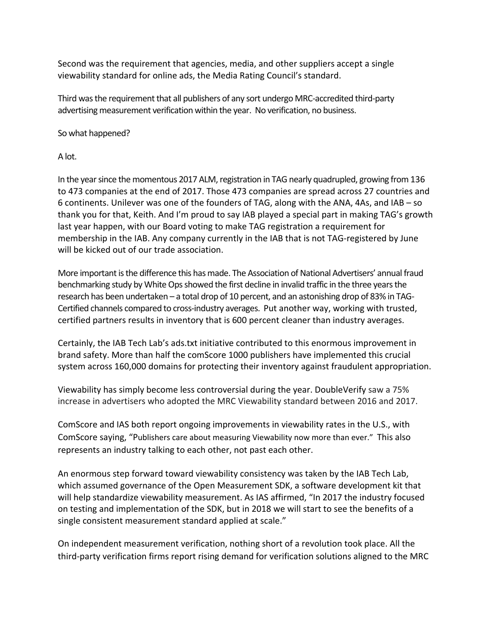Second was the requirement that agencies, media, and other suppliers accept a single viewability standard for online ads, the Media Rating Council's standard.

Third was the requirement that all publishers of any sort undergo MRC-accredited third-party advertising measurement verification within the year. No verification, no business.

So what happened?

A lot.

In the year since the momentous 2017 ALM, registration in TAG nearly quadrupled, growing from 136 to 473 companies at the end of 2017. Those 473 companies are spread across 27 countries and 6 continents. Unilever was one of the founders of TAG, along with the ANA, 4As, and IAB – so thank you for that, Keith. And I'm proud to say IAB played a special part in making TAG's growth last year happen, with our Board voting to make TAG registration a requirement for membership in the IAB. Any company currently in the IAB that is not TAG-registered by June will be kicked out of our trade association.

More important is the difference this has made. The Association of National Advertisers' annual fraud benchmarking study by White Ops showed the first decline in invalid traffic in the three years the research has been undertaken – a total drop of 10 percent, and an astonishing drop of 83% in TAG-Certified channels compared to cross-industry averages. Put another way, working with trusted, certified partners results in inventory that is 600 percent cleaner than industry averages.

Certainly, the IAB Tech Lab's ads.txt initiative contributed to this enormous improvement in brand safety. More than half the comScore 1000 publishers have implemented this crucial system across 160,000 domains for protecting their inventory against fraudulent appropriation.

Viewability has simply become less controversial during the year. DoubleVerify saw a 75% increase in advertisers who adopted the MRC Viewability standard between 2016 and 2017.

ComScore and IAS both report ongoing improvements in viewability rates in the U.S., with ComScore saying, "Publishers care about measuring Viewability now more than ever." This also represents an industry talking to each other, not past each other.

An enormous step forward toward viewability consistency was taken by the IAB Tech Lab, which assumed governance of the Open Measurement SDK, a software development kit that will help standardize viewability measurement. As IAS affirmed, "In 2017 the industry focused on testing and implementation of the SDK, but in 2018 we will start to see the benefits of a single consistent measurement standard applied at scale."

On independent measurement verification, nothing short of a revolution took place. All the third-party verification firms report rising demand for verification solutions aligned to the MRC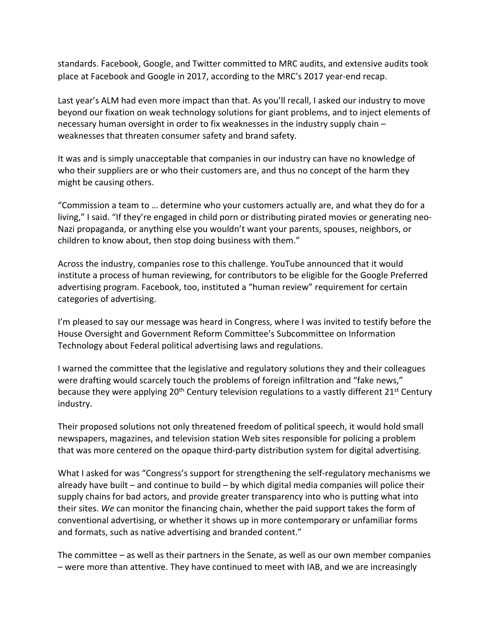standards. Facebook, Google, and Twitter committed to MRC audits, and extensive audits took place at Facebook and Google in 2017, according to the MRC's 2017 year-end recap.

Last year's ALM had even more impact than that. As you'll recall, I asked our industry to move beyond our fixation on weak technology solutions for giant problems, and to inject elements of necessary human oversight in order to fix weaknesses in the industry supply chain – weaknesses that threaten consumer safety and brand safety.

It was and is simply unacceptable that companies in our industry can have no knowledge of who their suppliers are or who their customers are, and thus no concept of the harm they might be causing others.

"Commission a team to … determine who your customers actually are, and what they do for a living," I said. "If they're engaged in child porn or distributing pirated movies or generating neo-Nazi propaganda, or anything else you wouldn't want your parents, spouses, neighbors, or children to know about, then stop doing business with them."

Across the industry, companies rose to this challenge. YouTube announced that it would institute a process of human reviewing, for contributors to be eligible for the Google Preferred advertising program. Facebook, too, instituted a "human review" requirement for certain categories of advertising.

I'm pleased to say our message was heard in Congress, where I was invited to testify before the House Oversight and Government Reform Committee's Subcommittee on Information Technology about Federal political advertising laws and regulations.

I warned the committee that the legislative and regulatory solutions they and their colleagues were drafting would scarcely touch the problems of foreign infiltration and "fake news," because they were applying 20<sup>th</sup> Century television regulations to a vastly different 21<sup>st</sup> Century industry.

Their proposed solutions not only threatened freedom of political speech, it would hold small newspapers, magazines, and television station Web sites responsible for policing a problem that was more centered on the opaque third-party distribution system for digital advertising.

What I asked for was "Congress's support for strengthening the self-regulatory mechanisms we already have built – and continue to build – by which digital media companies will police their supply chains for bad actors, and provide greater transparency into who is putting what into their sites. *We* can monitor the financing chain, whether the paid support takes the form of conventional advertising, or whether it shows up in more contemporary or unfamiliar forms and formats, such as native advertising and branded content."

The committee – as well as their partners in the Senate, as well as our own member companies – were more than attentive. They have continued to meet with IAB, and we are increasingly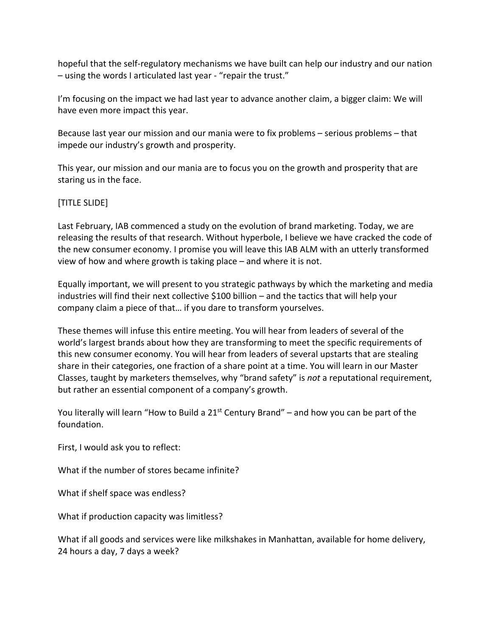hopeful that the self-regulatory mechanisms we have built can help our industry and our nation – using the words I articulated last year - "repair the trust."

I'm focusing on the impact we had last year to advance another claim, a bigger claim: We will have even more impact this year.

Because last year our mission and our mania were to fix problems – serious problems – that impede our industry's growth and prosperity.

This year, our mission and our mania are to focus you on the growth and prosperity that are staring us in the face.

# [TITLE SLIDE]

Last February, IAB commenced a study on the evolution of brand marketing. Today, we are releasing the results of that research. Without hyperbole, I believe we have cracked the code of the new consumer economy. I promise you will leave this IAB ALM with an utterly transformed view of how and where growth is taking place – and where it is not.

Equally important, we will present to you strategic pathways by which the marketing and media industries will find their next collective \$100 billion – and the tactics that will help your company claim a piece of that… if you dare to transform yourselves.

These themes will infuse this entire meeting. You will hear from leaders of several of the world's largest brands about how they are transforming to meet the specific requirements of this new consumer economy. You will hear from leaders of several upstarts that are stealing share in their categories, one fraction of a share point at a time. You will learn in our Master Classes, taught by marketers themselves, why "brand safety" is *not* a reputational requirement, but rather an essential component of a company's growth.

You literally will learn "How to Build a  $21<sup>st</sup>$  Century Brand" – and how you can be part of the foundation.

First, I would ask you to reflect:

What if the number of stores became infinite?

What if shelf space was endless?

What if production capacity was limitless?

What if all goods and services were like milkshakes in Manhattan, available for home delivery, 24 hours a day, 7 days a week?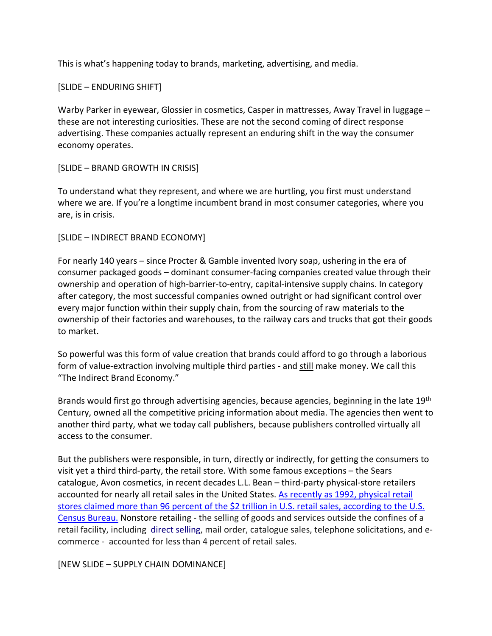This is what's happening today to brands, marketing, advertising, and media.

## [SLIDE – ENDURING SHIFT]

Warby Parker in eyewear, Glossier in cosmetics, Casper in mattresses, Away Travel in luggage – these are not interesting curiosities. These are not the second coming of direct response advertising. These companies actually represent an enduring shift in the way the consumer economy operates.

# [SLIDE – BRAND GROWTH IN CRISIS]

To understand what they represent, and where we are hurtling, you first must understand where we are. If you're a longtime incumbent brand in most consumer categories, where you are, is in crisis.

## [SLIDE – INDIRECT BRAND ECONOMY]

For nearly 140 years – since Procter & Gamble invented Ivory soap, ushering in the era of consumer packaged goods – dominant consumer-facing companies created value through their ownership and operation of high-barrier-to-entry, capital-intensive supply chains. In category after category, the most successful companies owned outright or had significant control over every major function within their supply chain, from the sourcing of raw materials to the ownership of their factories and warehouses, to the railway cars and trucks that got their goods to market.

So powerful was this form of value creation that brands could afford to go through a laborious form of value-extraction involving multiple third parties - and still make money. We call this "The Indirect Brand Economy."

Brands would first go through advertising agencies, because agencies, beginning in the late 19<sup>th</sup> Century, owned all the competitive pricing information about media. The agencies then went to another third party, what we today call publishers, because publishers controlled virtually all access to the consumer.

But the publishers were responsible, in turn, directly or indirectly, for getting the consumers to visit yet a third third-party, the retail store. With some famous exceptions – the Sears catalogue, Avon cosmetics, in recent decades L.L. Bean – third-party physical-store retailers accounted for nearly all retail sales in the United States. As recently as 1992, physical retail [stores claimed more than 96 percent of the \\$2 trillion in U.S. retail sales, according to the U.S.](https://census.gov/econ/isp/sampler.php?naicscode=454&naicslevel=3)  [Census Bureau.](https://census.gov/econ/isp/sampler.php?naicscode=454&naicslevel=3) Nonstore retailing - the selling of goods and services outside the confines of a retail facility, including [direct selling,](https://en.wikipedia.org/wiki/Direct_selling) mail order, catalogue sales, telephone solicitations, and ecommerce - accounted for less than 4 percent of retail sales.

[NEW SLIDE – SUPPLY CHAIN DOMINANCE]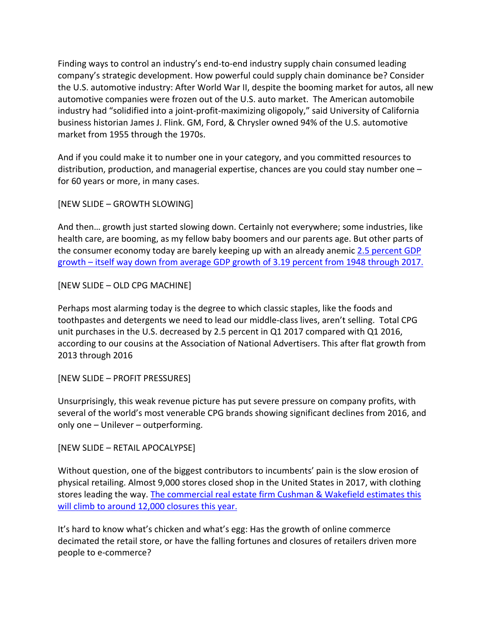Finding ways to control an industry's end-to-end industry supply chain consumed leading company's strategic development. How powerful could supply chain dominance be? Consider the U.S. automotive industry: After World War II, despite the booming market for autos, all new automotive companies were frozen out of the U.S. auto market. The American automobile industry had "solidified into a joint-profit-maximizing oligopoly," said University of California business historian James J. Flink. GM, Ford, & Chrysler owned 94% of the U.S. automotive market from 1955 through the 1970s.

And if you could make it to number one in your category, and you committed resources to distribution, production, and managerial expertise, chances are you could stay number one – for 60 years or more, in many cases.

[NEW SLIDE – GROWTH SLOWING]

And then… growth just started slowing down. Certainly not everywhere; some industries, like health care, are booming, as my fellow baby boomers and our parents age. But other parts of the consumer economy today are barely keeping up with an already anemic 2.5 percent GDP growth – [itself way down from average GDP growth of 3.19 percent from 1948 through 2017.](https://tradingeconomics.com/united-states/gdp)

[NEW SLIDE – OLD CPG MACHINE]

Perhaps most alarming today is the degree to which classic staples, like the foods and toothpastes and detergents we need to lead our middle-class lives, aren't selling. Total CPG unit purchases in the U.S. decreased by 2.5 percent in Q1 2017 compared with Q1 2016, according to our cousins at the Association of National Advertisers. This after flat growth from 2013 through 2016

[NEW SLIDE – PROFIT PRESSURES]

Unsurprisingly, this weak revenue picture has put severe pressure on company profits, with several of the world's most venerable CPG brands showing significant declines from 2016, and only one – Unilever – outperforming.

[NEW SLIDE – RETAIL APOCALYPSE]

Without question, one of the biggest contributors to incumbents' pain is the slow erosion of physical retailing. Almost 9,000 stores closed shop in the United States in 2017, with clothing stores leading the way. The commercial real estate firm Cushman & Wakefield estimates this [will climb to around 12,000 closures this year.](http://www.businessinsider.com/store-closures-in-2018-will-eclipse-2017-2018-1)

It's hard to know what's chicken and what's egg: Has the growth of online commerce decimated the retail store, or have the falling fortunes and closures of retailers driven more people to e-commerce?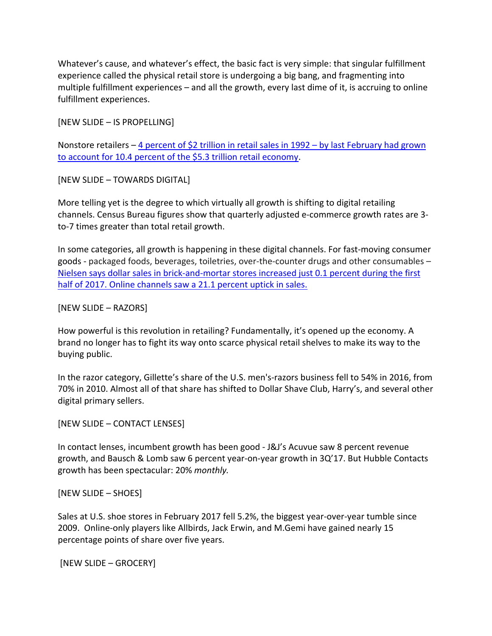Whatever's cause, and whatever's effect, the basic fact is very simple: that singular fulfillment experience called the physical retail store is undergoing a big bang, and fragmenting into multiple fulfillment experiences – and all the growth, every last dime of it, is accruing to online fulfillment experiences.

[NEW SLIDE – IS PROPELLING]

Nonstore retailers – [4 percent of \\$2 trillion in retail sales in 1992 –](https://www.census.gov/programs-surveys/susb.html) by last February had grown [to account for 10.4 percent of the \\$5.3 trillion retail economy.](https://www.census.gov/programs-surveys/susb.html)

[NEW SLIDE – TOWARDS DIGITAL]

More telling yet is the degree to which virtually all growth is shifting to digital retailing channels. Census Bureau figures show that quarterly adjusted e-commerce growth rates are 3 to-7 times greater than total retail growth.

In some categories, all growth is happening in these digital channels. For fast-moving consumer goods - packaged foods, beverages, toiletries, over-the-counter drugs and other consumables – [Nielsen says dollar sales in brick-and-mortar stores increased just 0.1 percent during the first](http://www.nielsen.com/us/en/insights/news/2017/as-us-retail-shifts-continue-e-commerce-thrives.html)  [half of 2017. Online channels saw a 21.1 percent uptick in sales.](http://www.nielsen.com/us/en/insights/news/2017/as-us-retail-shifts-continue-e-commerce-thrives.html)

## [NEW SLIDE – RAZORS]

How powerful is this revolution in retailing? Fundamentally, it's opened up the economy. A brand no longer has to fight its way onto scarce physical retail shelves to make its way to the buying public.

In the razor category, Gillette's share of the U.S. men's-razors business fell to 54% in 2016, from 70% in 2010. Almost all of that share has shifted to Dollar Shave Club, Harry's, and several other digital primary sellers.

[NEW SLIDE – CONTACT LENSES]

In contact lenses, incumbent growth has been good - J&J's Acuvue saw 8 percent revenue growth, and Bausch & Lomb saw 6 percent year-on-year growth in 3Q'17. But Hubble Contacts growth has been spectacular: 20% *monthly.*

[NEW SLIDE – SHOES]

Sales at U.S. shoe stores in February 2017 fell 5.2%, the biggest year-over-year tumble since 2009. Online-only players like Allbirds, Jack Erwin, and M.Gemi have gained nearly 15 percentage points of share over five years.

[NEW SLIDE – GROCERY]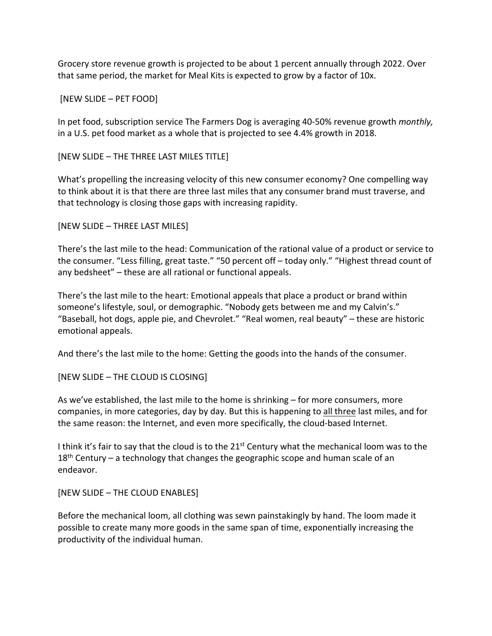Grocery store revenue growth is projected to be about 1 percent annually through 2022. Over that same period, the market for Meal Kits is expected to grow by a factor of 10x.

## [NEW SLIDE – PET FOOD]

In pet food, subscription service The Farmers Dog is averaging 40-50% revenue growth *monthly,*  in a U.S. pet food market as a whole that is projected to see 4.4% growth in 2018.

[NEW SLIDE – THE THREE LAST MILES TITLE]

What's propelling the increasing velocity of this new consumer economy? One compelling way to think about it is that there are three last miles that any consumer brand must traverse, and that technology is closing those gaps with increasing rapidity.

[NEW SLIDE – THREE LAST MILES]

There's the last mile to the head: Communication of the rational value of a product or service to the consumer. "Less filling, great taste." "50 percent off – today only." "Highest thread count of any bedsheet" – these are all rational or functional appeals.

There's the last mile to the heart: Emotional appeals that place a product or brand within someone's lifestyle, soul, or demographic. "Nobody gets between me and my Calvin's." "Baseball, hot dogs, apple pie, and Chevrolet." "Real women, real beauty" – these are historic emotional appeals.

And there's the last mile to the home: Getting the goods into the hands of the consumer.

[NEW SLIDE – THE CLOUD IS CLOSING]

As we've established, the last mile to the home is shrinking – for more consumers, more companies, in more categories, day by day. But this is happening to all three last miles, and for the same reason: the Internet, and even more specifically, the cloud-based Internet.

I think it's fair to say that the cloud is to the 21<sup>st</sup> Century what the mechanical loom was to the  $18<sup>th</sup>$  Century – a technology that changes the geographic scope and human scale of an endeavor.

[NEW SLIDE – THE CLOUD ENABLES]

Before the mechanical loom, all clothing was sewn painstakingly by hand. The loom made it possible to create many more goods in the same span of time, exponentially increasing the productivity of the individual human.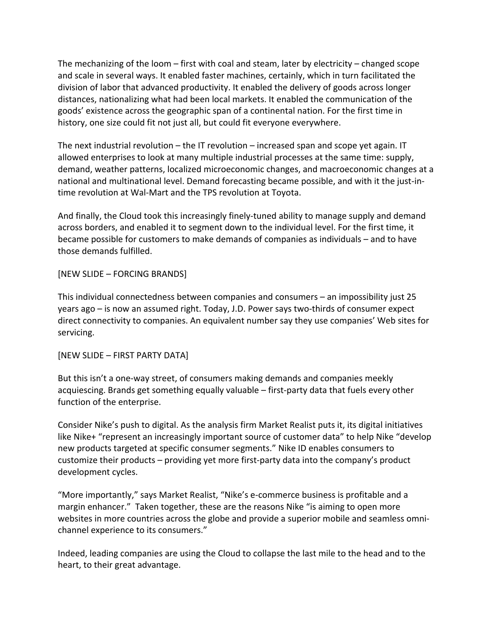The mechanizing of the loom – first with coal and steam, later by electricity – changed scope and scale in several ways. It enabled faster machines, certainly, which in turn facilitated the division of labor that advanced productivity. It enabled the delivery of goods across longer distances, nationalizing what had been local markets. It enabled the communication of the goods' existence across the geographic span of a continental nation. For the first time in history, one size could fit not just all, but could fit everyone everywhere.

The next industrial revolution – the IT revolution – increased span and scope yet again. IT allowed enterprises to look at many multiple industrial processes at the same time: supply, demand, weather patterns, localized microeconomic changes, and macroeconomic changes at a national and multinational level. Demand forecasting became possible, and with it the just-intime revolution at Wal-Mart and the TPS revolution at Toyota.

And finally, the Cloud took this increasingly finely-tuned ability to manage supply and demand across borders, and enabled it to segment down to the individual level. For the first time, it became possible for customers to make demands of companies as individuals – and to have those demands fulfilled.

[NEW SLIDE – FORCING BRANDS]

This individual connectedness between companies and consumers – an impossibility just 25 years ago – is now an assumed right. Today, J.D. Power says two-thirds of consumer expect direct connectivity to companies. An equivalent number say they use companies' Web sites for servicing.

[NEW SLIDE – FIRST PARTY DATA]

But this isn't a one-way street, of consumers making demands and companies meekly acquiescing. Brands get something equally valuable – first-party data that fuels every other function of the enterprise.

Consider Nike's push to digital. As the analysis firm Market Realist puts it, its digital initiatives like Nike+ "represent an increasingly important source of customer data" to help Nike "develop new products targeted at specific consumer segments." Nike ID enables consumers to customize their products – providing yet more first-party data into the company's product development cycles.

"More importantly," says Market Realist, "Nike's e-commerce business is profitable and a margin enhancer." Taken together, these are the reasons Nike "is aiming to open more websites in more countries across the globe and provide a superior mobile and seamless omnichannel experience to its consumers."

Indeed, leading companies are using the Cloud to collapse the last mile to the head and to the heart, to their great advantage.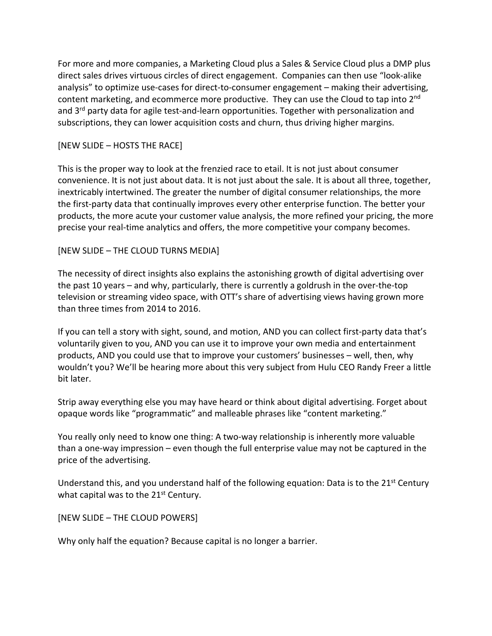For more and more companies, a Marketing Cloud plus a Sales & Service Cloud plus a DMP plus direct sales drives virtuous circles of direct engagement. Companies can then use "look-alike analysis" to optimize use-cases for direct-to-consumer engagement – making their advertising, content marketing, and ecommerce more productive. They can use the Cloud to tap into 2<sup>nd</sup> and 3<sup>rd</sup> party data for agile test-and-learn opportunities. Together with personalization and subscriptions, they can lower acquisition costs and churn, thus driving higher margins.

## [NEW SLIDE – HOSTS THE RACE]

This is the proper way to look at the frenzied race to etail. It is not just about consumer convenience. It is not just about data. It is not just about the sale. It is about all three, together, inextricably intertwined. The greater the number of digital consumer relationships, the more the first-party data that continually improves every other enterprise function. The better your products, the more acute your customer value analysis, the more refined your pricing, the more precise your real-time analytics and offers, the more competitive your company becomes.

## [NEW SLIDE – THE CLOUD TURNS MEDIA]

The necessity of direct insights also explains the astonishing growth of digital advertising over the past 10 years – and why, particularly, there is currently a goldrush in the over-the-top television or streaming video space, with OTT's share of advertising views having grown more than three times from 2014 to 2016.

If you can tell a story with sight, sound, and motion, AND you can collect first-party data that's voluntarily given to you, AND you can use it to improve your own media and entertainment products, AND you could use that to improve your customers' businesses – well, then, why wouldn't you? We'll be hearing more about this very subject from Hulu CEO Randy Freer a little bit later.

Strip away everything else you may have heard or think about digital advertising. Forget about opaque words like "programmatic" and malleable phrases like "content marketing."

You really only need to know one thing: A two-way relationship is inherently more valuable than a one-way impression – even though the full enterprise value may not be captured in the price of the advertising.

Understand this, and you understand half of the following equation: Data is to the 21<sup>st</sup> Century what capital was to the  $21<sup>st</sup>$  Century.

## [NEW SLIDE – THE CLOUD POWERS]

Why only half the equation? Because capital is no longer a barrier.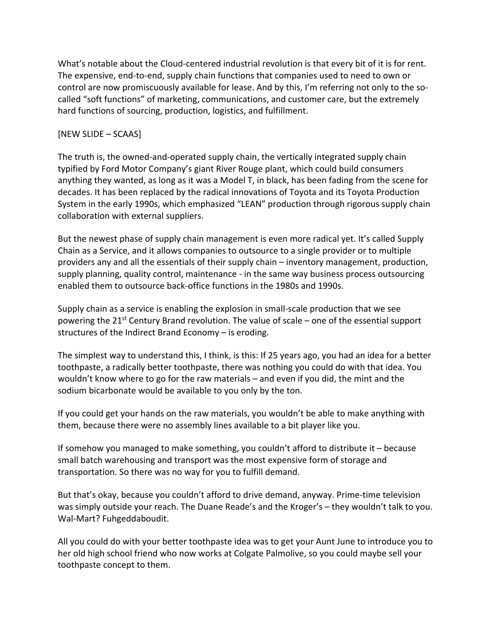What's notable about the Cloud-centered industrial revolution is that every bit of it is for rent. The expensive, end-to-end, supply chain functions that companies used to need to own or control are now promiscuously available for lease. And by this, I'm referring not only to the socalled "soft functions" of marketing, communications, and customer care, but the extremely hard functions of sourcing, production, logistics, and fulfillment.

# [NEW SLIDE – SCAAS]

The truth is, the owned-and-operated supply chain, the vertically integrated supply chain typified by Ford Motor Company's giant River Rouge plant, which could build consumers anything they wanted, as long as it was a Model T, in black, has been fading from the scene for decades. It has been replaced by the radical innovations of Toyota and its Toyota Production System in the early 1990s, which emphasized "LEAN" production through rigorous supply chain collaboration with external suppliers.

But the newest phase of supply chain management is even more radical yet. It's called Supply Chain as a Service, and it allows companies to outsource to a single provider or to multiple providers any and all the essentials of their supply chain – inventory management, production, supply planning, quality control, maintenance - in the same way business process outsourcing enabled them to outsource back-office functions in the 1980s and 1990s.

Supply chain as a service is enabling the explosion in small-scale production that we see powering the  $21^{st}$  Century Brand revolution. The value of scale – one of the essential support structures of the Indirect Brand Economy – is eroding.

The simplest way to understand this, I think, is this: If 25 years ago, you had an idea for a better toothpaste, a radically better toothpaste, there was nothing you could do with that idea. You wouldn't know where to go for the raw materials – and even if you did, the mint and the sodium bicarbonate would be available to you only by the ton.

If you could get your hands on the raw materials, you wouldn't be able to make anything with them, because there were no assembly lines available to a bit player like you.

If somehow you managed to make something, you couldn't afford to distribute it – because small batch warehousing and transport was the most expensive form of storage and transportation. So there was no way for you to fulfill demand.

But that's okay, because you couldn't afford to drive demand, anyway. Prime-time television was simply outside your reach. The Duane Reade's and the Kroger's – they wouldn't talk to you. Wal-Mart? Fuhgeddaboudit.

All you could do with your better toothpaste idea was to get your Aunt June to introduce you to her old high school friend who now works at Colgate Palmolive, so you could maybe sell your toothpaste concept to them.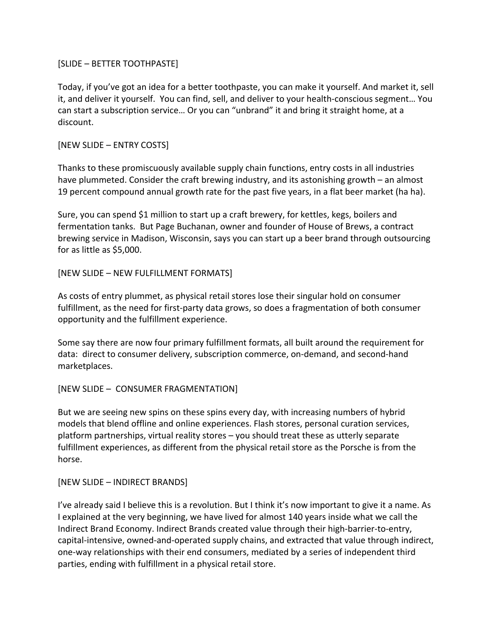## [SLIDE – BETTER TOOTHPASTE]

Today, if you've got an idea for a better toothpaste, you can make it yourself. And market it, sell it, and deliver it yourself. You can find, sell, and deliver to your health-conscious segment… You can start a subscription service… Or you can "unbrand" it and bring it straight home, at a discount.

## [NEW SLIDE – ENTRY COSTS]

Thanks to these promiscuously available supply chain functions, entry costs in all industries have plummeted. Consider the craft brewing industry, and its astonishing growth – an almost 19 percent compound annual growth rate for the past five years, in a flat beer market (ha ha).

Sure, you can spend \$1 million to start up a craft brewery, for kettles, kegs, boilers and fermentation tanks. But Page Buchanan, owner and founder of House of Brews, a contract brewing service in Madison, Wisconsin, says you can start up a beer brand through outsourcing for as little as \$5,000.

## [NEW SLIDE – NEW FULFILLMENT FORMATS]

As costs of entry plummet, as physical retail stores lose their singular hold on consumer fulfillment, as the need for first-party data grows, so does a fragmentation of both consumer opportunity and the fulfillment experience.

Some say there are now four primary fulfillment formats, all built around the requirement for data: direct to consumer delivery, subscription commerce, on-demand, and second-hand marketplaces.

# [NEW SLIDE – CONSUMER FRAGMENTATION]

But we are seeing new spins on these spins every day, with increasing numbers of hybrid models that blend offline and online experiences. Flash stores, personal curation services, platform partnerships, virtual reality stores – you should treat these as utterly separate fulfillment experiences, as different from the physical retail store as the Porsche is from the horse.

## [NEW SLIDE – INDIRECT BRANDS]

I've already said I believe this is a revolution. But I think it's now important to give it a name. As I explained at the very beginning, we have lived for almost 140 years inside what we call the Indirect Brand Economy. Indirect Brands created value through their high-barrier-to-entry, capital-intensive, owned-and-operated supply chains, and extracted that value through indirect, one-way relationships with their end consumers, mediated by a series of independent third parties, ending with fulfillment in a physical retail store.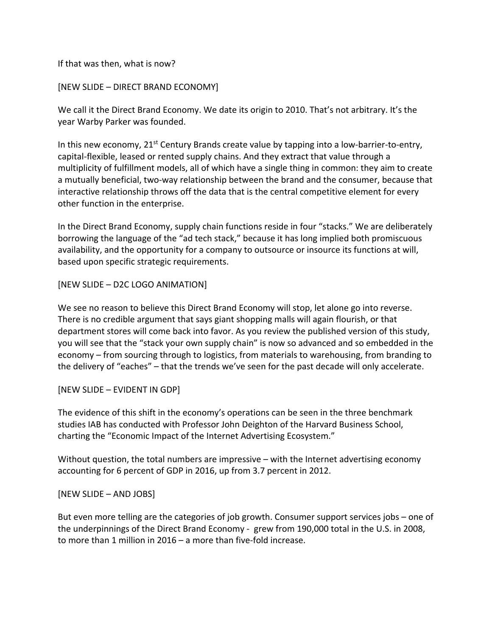## If that was then, what is now?

### [NEW SLIDE – DIRECT BRAND ECONOMY]

We call it the Direct Brand Economy. We date its origin to 2010. That's not arbitrary. It's the year Warby Parker was founded.

In this new economy,  $21^{st}$  Century Brands create value by tapping into a low-barrier-to-entry, capital-flexible, leased or rented supply chains. And they extract that value through a multiplicity of fulfillment models, all of which have a single thing in common: they aim to create a mutually beneficial, two-way relationship between the brand and the consumer, because that interactive relationship throws off the data that is the central competitive element for every other function in the enterprise.

In the Direct Brand Economy, supply chain functions reside in four "stacks." We are deliberately borrowing the language of the "ad tech stack," because it has long implied both promiscuous availability, and the opportunity for a company to outsource or insource its functions at will, based upon specific strategic requirements.

## [NEW SLIDE – D2C LOGO ANIMATION]

We see no reason to believe this Direct Brand Economy will stop, let alone go into reverse. There is no credible argument that says giant shopping malls will again flourish, or that department stores will come back into favor. As you review the published version of this study, you will see that the "stack your own supply chain" is now so advanced and so embedded in the economy – from sourcing through to logistics, from materials to warehousing, from branding to the delivery of "eaches" – that the trends we've seen for the past decade will only accelerate.

#### [NEW SLIDE – EVIDENT IN GDP]

The evidence of this shift in the economy's operations can be seen in the three benchmark studies IAB has conducted with Professor John Deighton of the Harvard Business School, charting the "Economic Impact of the Internet Advertising Ecosystem."

Without question, the total numbers are impressive – with the Internet advertising economy accounting for 6 percent of GDP in 2016, up from 3.7 percent in 2012.

#### [NEW SLIDE – AND JOBS]

But even more telling are the categories of job growth. Consumer support services jobs – one of the underpinnings of the Direct Brand Economy - grew from 190,000 total in the U.S. in 2008, to more than 1 million in 2016 – a more than five-fold increase.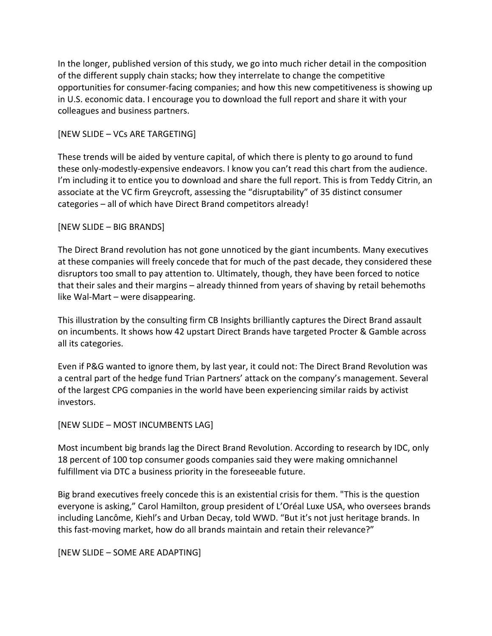In the longer, published version of this study, we go into much richer detail in the composition of the different supply chain stacks; how they interrelate to change the competitive opportunities for consumer-facing companies; and how this new competitiveness is showing up in U.S. economic data. I encourage you to download the full report and share it with your colleagues and business partners.

## [NEW SLIDE – VCs ARE TARGETING]

These trends will be aided by venture capital, of which there is plenty to go around to fund these only-modestly-expensive endeavors. I know you can't read this chart from the audience. I'm including it to entice you to download and share the full report. This is from Teddy Citrin, an associate at the VC firm Greycroft, assessing the "disruptability" of 35 distinct consumer categories – all of which have Direct Brand competitors already!

## [NEW SLIDE – BIG BRANDS]

The Direct Brand revolution has not gone unnoticed by the giant incumbents. Many executives at these companies will freely concede that for much of the past decade, they considered these disruptors too small to pay attention to. Ultimately, though, they have been forced to notice that their sales and their margins – already thinned from years of shaving by retail behemoths like Wal-Mart – were disappearing.

This illustration by the consulting firm CB Insights brilliantly captures the Direct Brand assault on incumbents. It shows how 42 upstart Direct Brands have targeted Procter & Gamble across all its categories.

Even if P&G wanted to ignore them, by last year, it could not: The Direct Brand Revolution was a central part of the hedge fund Trian Partners' attack on the company's management. Several of the largest CPG companies in the world have been experiencing similar raids by activist investors.

[NEW SLIDE – MOST INCUMBENTS LAG]

Most incumbent big brands lag the Direct Brand Revolution. According to research by IDC, only 18 percent of 100 top consumer goods companies said they were making omnichannel fulfillment via DTC a business priority in the foreseeable future.

Big brand executives freely concede this is an existential crisis for them. "This is the question everyone is asking," Carol Hamilton, group president of L'Oréal Luxe USA, who oversees brands including Lancôme, Kiehl's and Urban Decay, told WWD. "But it's not just heritage brands. In this fast-moving market, how do all brands maintain and retain their relevance?"

[NEW SLIDE – SOME ARE ADAPTING]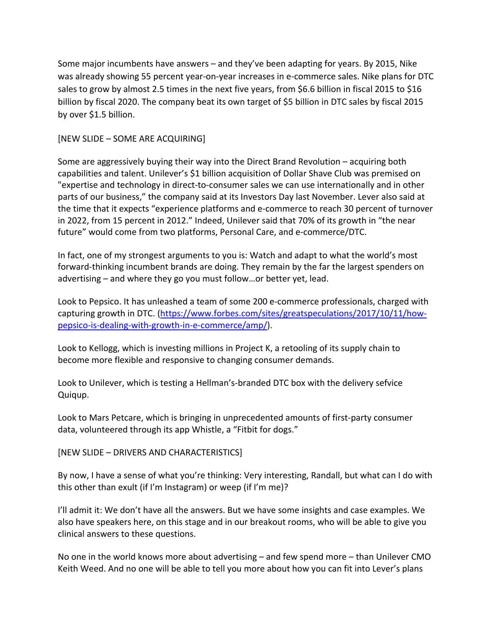Some major incumbents have answers – and they've been adapting for years. By 2015, Nike was already showing 55 percent year-on-year increases in e-commerce sales. Nike plans for DTC sales to grow by almost 2.5 times in the next five years, from \$6.6 billion in fiscal 2015 to \$16 billion by fiscal 2020. The company beat its own target of \$5 billion in DTC sales by fiscal 2015 by over \$1.5 billion.

## [NEW SLIDE – SOME ARE ACQUIRING]

Some are aggressively buying their way into the Direct Brand Revolution – acquiring both capabilities and talent. Unilever's \$1 billion acquisition of Dollar Shave Club was premised on "expertise and technology in direct-to-consumer sales we can use internationally and in other parts of our business," the company said at its Investors Day last November. Lever also said at the time that it expects "experience platforms and e-commerce to reach 30 percent of turnover in 2022, from 15 percent in 2012." Indeed, Unilever said that 70% of its growth in "the near future" would come from two platforms, Personal Care, and e-commerce/DTC.

In fact, one of my strongest arguments to you is: Watch and adapt to what the world's most forward-thinking incumbent brands are doing. They remain by the far the largest spenders on advertising – and where they go you must follow…or better yet, lead.

Look to Pepsico. It has unleashed a team of some 200 e-commerce professionals, charged with capturing growth in DTC. [\(https://www.forbes.com/sites/greatspeculations/2017/10/11/how](https://www.forbes.com/sites/greatspeculations/2017/10/11/how-pepsico-is-dealing-with-growth-in-e-commerce/amp/)[pepsico-is-dealing-with-growth-in-e-commerce/amp/\)](https://www.forbes.com/sites/greatspeculations/2017/10/11/how-pepsico-is-dealing-with-growth-in-e-commerce/amp/).

Look to Kellogg, which is investing millions in Project K, a retooling of its supply chain to become more flexible and responsive to changing consumer demands.

Look to Unilever, which is testing a Hellman's-branded DTC box with the delivery sefvice Quiqup.

Look to Mars Petcare, which is bringing in unprecedented amounts of first-party consumer data, volunteered through its app Whistle, a "Fitbit for dogs."

[NEW SLIDE – DRIVERS AND CHARACTERISTICS]

By now, I have a sense of what you're thinking: Very interesting, Randall, but what can I do with this other than exult (if I'm Instagram) or weep (if I'm me)?

I'll admit it: We don't have all the answers. But we have some insights and case examples. We also have speakers here, on this stage and in our breakout rooms, who will be able to give you clinical answers to these questions.

No one in the world knows more about advertising – and few spend more – than Unilever CMO Keith Weed. And no one will be able to tell you more about how you can fit into Lever's plans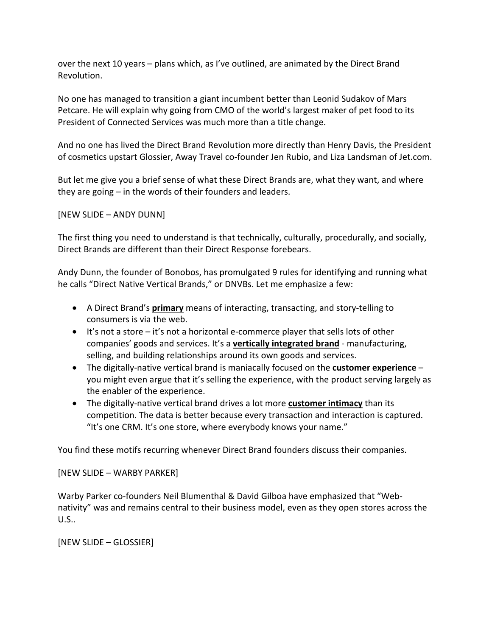over the next 10 years – plans which, as I've outlined, are animated by the Direct Brand Revolution.

No one has managed to transition a giant incumbent better than Leonid Sudakov of Mars Petcare. He will explain why going from CMO of the world's largest maker of pet food to its President of Connected Services was much more than a title change.

And no one has lived the Direct Brand Revolution more directly than Henry Davis, the President of cosmetics upstart Glossier, Away Travel co-founder Jen Rubio, and Liza Landsman of Jet.com.

But let me give you a brief sense of what these Direct Brands are, what they want, and where they are going – in the words of their founders and leaders.

[NEW SLIDE – ANDY DUNN]

The first thing you need to understand is that technically, culturally, procedurally, and socially, Direct Brands are different than their Direct Response forebears.

Andy Dunn, the founder of Bonobos, has promulgated 9 rules for identifying and running what he calls "Direct Native Vertical Brands," or DNVBs. Let me emphasize a few:

- A Direct Brand's **primary** means of interacting, transacting, and story-telling to consumers is via the web.
- $\bullet$  It's not a store it's not a horizontal e-commerce player that sells lots of other companies' goods and services. It's a **vertically integrated brand** - manufacturing, selling, and building relationships around its own goods and services.
- The digitally-native vertical brand is maniacally focused on the **customer experience** you might even argue that it's selling the experience, with the product serving largely as the enabler of the experience.
- The digitally-native vertical brand drives a lot more **customer intimacy** than its competition. The data is better because every transaction and interaction is captured. "It's one CRM. It's one store, where everybody knows your name."

You find these motifs recurring whenever Direct Brand founders discuss their companies.

[NEW SLIDE – WARBY PARKER]

Warby Parker co-founders Neil Blumenthal & David Gilboa have emphasized that "Webnativity" was and remains central to their business model, even as they open stores across the U.S..

[NEW SLIDE – GLOSSIER]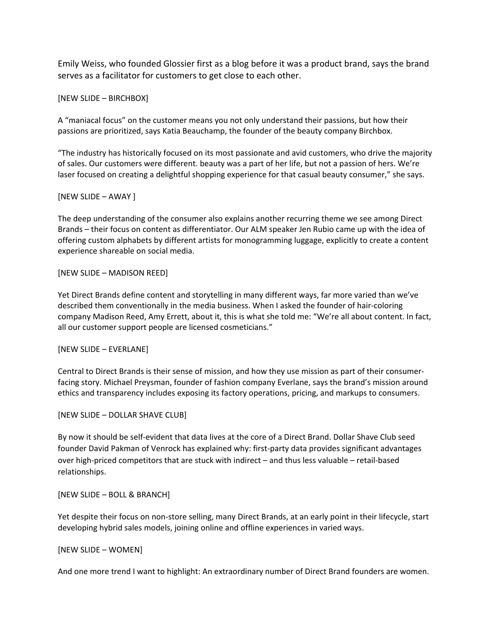Emily Weiss, who founded Glossier first as a blog before it was a product brand, says the brand serves as a facilitator for customers to get close to each other.

#### [NEW SLIDE – BIRCHBOX]

A "maniacal focus" on the customer means you not only understand their passions, but how their passions are prioritized, says Katia Beauchamp, the founder of the beauty company Birchbox.

"The industry has historically focused on its most passionate and avid customers, who drive the majority of sales. Our customers were different. beauty was a part of her life, but not a passion of hers. We're laser focused on creating a delightful shopping experience for that casual beauty consumer," she says.

#### [NEW SLIDE – AWAY ]

The deep understanding of the consumer also explains another recurring theme we see among Direct Brands – their focus on content as differentiator. Our ALM speaker Jen Rubio came up with the idea of offering custom alphabets by different artists for monogramming luggage, explicitly to create a content experience shareable on social media.

#### [NEW SLIDE – MADISON REED]

Yet Direct Brands define content and storytelling in many different ways, far more varied than we've described them conventionally in the media business. When I asked the founder of hair-coloring company Madison Reed, Amy Errett, about it, this is what she told me: "We're all about content. In fact, all our customer support people are licensed cosmeticians."

#### [NEW SLIDE – EVERLANE]

Central to Direct Brands is their sense of mission, and how they use mission as part of their consumerfacing story. Michael Preysman, founder of fashion company Everlane, says the brand's mission around ethics and transparency includes exposing its factory operations, pricing, and markups to consumers.

#### [NEW SLIDE – DOLLAR SHAVE CLUB]

By now it should be self-evident that data lives at the core of a Direct Brand. Dollar Shave Club seed founder David Pakman of Venrock has explained why: first-party data provides significant advantages over high-priced competitors that are stuck with indirect – and thus less valuable – retail-based relationships.

#### [NEW SLIDE – BOLL & BRANCH]

Yet despite their focus on non-store selling, many Direct Brands, at an early point in their lifecycle, start developing hybrid sales models, joining online and offline experiences in varied ways.

#### [NEW SLIDE – WOMEN]

And one more trend I want to highlight: An extraordinary number of Direct Brand founders are women.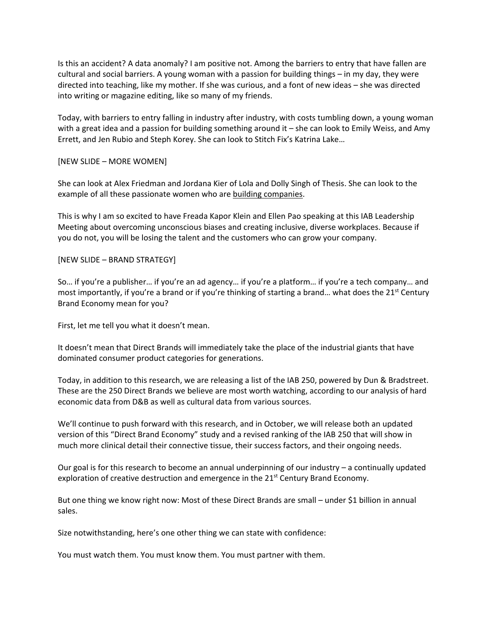Is this an accident? A data anomaly? I am positive not. Among the barriers to entry that have fallen are cultural and social barriers. A young woman with a passion for building things – in my day, they were directed into teaching, like my mother. If she was curious, and a font of new ideas – she was directed into writing or magazine editing, like so many of my friends.

Today, with barriers to entry falling in industry after industry, with costs tumbling down, a young woman with a great idea and a passion for building something around it – she can look to Emily Weiss, and Amy Errett, and Jen Rubio and Steph Korey. She can look to Stitch Fix's Katrina Lake…

#### [NEW SLIDE – MORE WOMEN]

She can look at Alex Friedman and Jordana Kier of Lola and Dolly Singh of Thesis. She can look to the example of all these passionate women who are building companies.

This is why I am so excited to have Freada Kapor Klein and Ellen Pao speaking at this IAB Leadership Meeting about overcoming unconscious biases and creating inclusive, diverse workplaces. Because if you do not, you will be losing the talent and the customers who can grow your company.

#### [NEW SLIDE – BRAND STRATEGY]

So… if you're a publisher… if you're an ad agency… if you're a platform… if you're a tech company… and most importantly, if you're a brand or if you're thinking of starting a brand... what does the  $21^{st}$  Century Brand Economy mean for you?

First, let me tell you what it doesn't mean.

It doesn't mean that Direct Brands will immediately take the place of the industrial giants that have dominated consumer product categories for generations.

Today, in addition to this research, we are releasing a list of the IAB 250, powered by Dun & Bradstreet. These are the 250 Direct Brands we believe are most worth watching, according to our analysis of hard economic data from D&B as well as cultural data from various sources.

We'll continue to push forward with this research, and in October, we will release both an updated version of this "Direct Brand Economy" study and a revised ranking of the IAB 250 that will show in much more clinical detail their connective tissue, their success factors, and their ongoing needs.

Our goal is for this research to become an annual underpinning of our industry – a continually updated exploration of creative destruction and emergence in the  $21<sup>st</sup>$  Century Brand Economy.

But one thing we know right now: Most of these Direct Brands are small – under \$1 billion in annual sales.

Size notwithstanding, here's one other thing we can state with confidence:

You must watch them. You must know them. You must partner with them.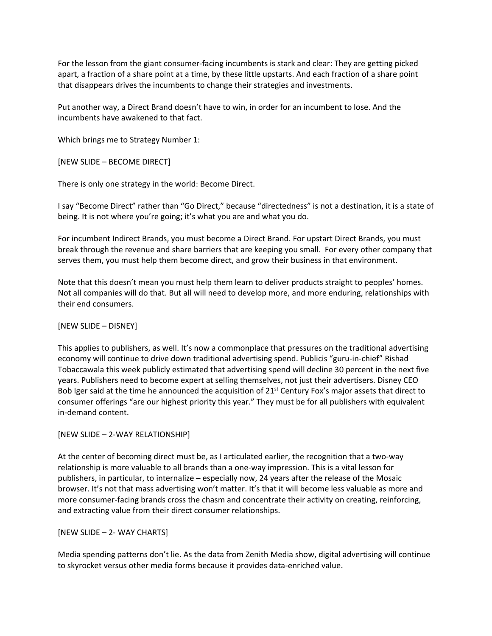For the lesson from the giant consumer-facing incumbents is stark and clear: They are getting picked apart, a fraction of a share point at a time, by these little upstarts. And each fraction of a share point that disappears drives the incumbents to change their strategies and investments.

Put another way, a Direct Brand doesn't have to win, in order for an incumbent to lose. And the incumbents have awakened to that fact.

Which brings me to Strategy Number 1:

[NEW SLIDE – BECOME DIRECT]

There is only one strategy in the world: Become Direct.

I say "Become Direct" rather than "Go Direct," because "directedness" is not a destination, it is a state of being. It is not where you're going; it's what you are and what you do.

For incumbent Indirect Brands, you must become a Direct Brand. For upstart Direct Brands, you must break through the revenue and share barriers that are keeping you small. For every other company that serves them, you must help them become direct, and grow their business in that environment.

Note that this doesn't mean you must help them learn to deliver products straight to peoples' homes. Not all companies will do that. But all will need to develop more, and more enduring, relationships with their end consumers.

#### [NEW SLIDE – DISNEY]

This applies to publishers, as well. It's now a commonplace that pressures on the traditional advertising economy will continue to drive down traditional advertising spend. Publicis "guru-in-chief" Rishad Tobaccawala this week publicly estimated that advertising spend will decline 30 percent in the next five years. Publishers need to become expert at selling themselves, not just their advertisers. Disney CEO Bob Iger said at the time he announced the acquisition of  $21^{st}$  Century Fox's major assets that direct to consumer offerings "are our highest priority this year." They must be for all publishers with equivalent in-demand content.

#### [NEW SLIDE – 2-WAY RELATIONSHIP]

At the center of becoming direct must be, as I articulated earlier, the recognition that a two-way relationship is more valuable to all brands than a one-way impression. This is a vital lesson for publishers, in particular, to internalize – especially now, 24 years after the release of the Mosaic browser. It's not that mass advertising won't matter. It's that it will become less valuable as more and more consumer-facing brands cross the chasm and concentrate their activity on creating, reinforcing, and extracting value from their direct consumer relationships.

#### [NEW SLIDE – 2- WAY CHARTS]

Media spending patterns don't lie. As the data from Zenith Media show, digital advertising will continue to skyrocket versus other media forms because it provides data-enriched value.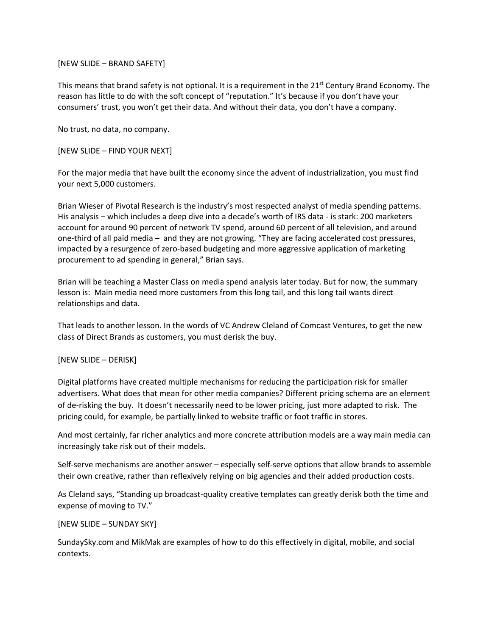[NEW SLIDE – BRAND SAFETY]

This means that brand safety is not optional. It is a requirement in the 21<sup>st</sup> Century Brand Economy. The reason has little to do with the soft concept of "reputation." It's because if you don't have your consumers' trust, you won't get their data. And without their data, you don't have a company.

No trust, no data, no company.

[NEW SLIDE – FIND YOUR NEXT]

For the major media that have built the economy since the advent of industrialization, you must find your next 5,000 customers.

Brian Wieser of Pivotal Research is the industry's most respected analyst of media spending patterns. His analysis – which includes a deep dive into a decade's worth of IRS data - is stark: 200 marketers account for around 90 percent of network TV spend, around 60 percent of all television, and around one-third of all paid media – and they are not growing. "They are facing accelerated cost pressures, impacted by a resurgence of zero-based budgeting and more aggressive application of marketing procurement to ad spending in general," Brian says.

Brian will be teaching a Master Class on media spend analysis later today. But for now, the summary lesson is: Main media need more customers from this long tail, and this long tail wants direct relationships and data.

That leads to another lesson. In the words of VC Andrew Cleland of Comcast Ventures, to get the new class of Direct Brands as customers, you must derisk the buy.

#### [NEW SLIDE – DERISK]

Digital platforms have created multiple mechanisms for reducing the participation risk for smaller advertisers. What does that mean for other media companies? Different pricing schema are an element of de-risking the buy. It doesn't necessarily need to be lower pricing, just more adapted to risk. The pricing could, for example, be partially linked to website traffic or foot traffic in stores.

And most certainly, far richer analytics and more concrete attribution models are a way main media can increasingly take risk out of their models.

Self-serve mechanisms are another answer – especially self-serve options that allow brands to assemble their own creative, rather than reflexively relying on big agencies and their added production costs.

As Cleland says, "Standing up broadcast-quality creative templates can greatly derisk both the time and expense of moving to TV."

#### [NEW SLIDE – SUNDAY SKY]

SundaySky.com and MikMak are examples of how to do this effectively in digital, mobile, and social contexts.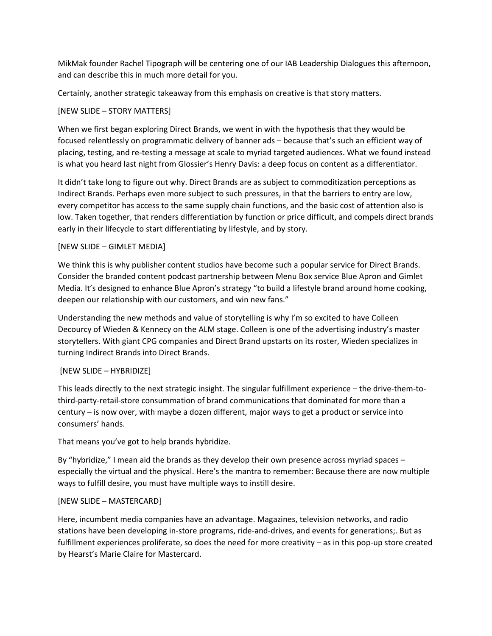MikMak founder Rachel Tipograph will be centering one of our IAB Leadership Dialogues this afternoon, and can describe this in much more detail for you.

Certainly, another strategic takeaway from this emphasis on creative is that story matters.

### [NEW SLIDE – STORY MATTERS]

When we first began exploring Direct Brands, we went in with the hypothesis that they would be focused relentlessly on programmatic delivery of banner ads – because that's such an efficient way of placing, testing, and re-testing a message at scale to myriad targeted audiences. What we found instead is what you heard last night from Glossier's Henry Davis: a deep focus on content as a differentiator.

It didn't take long to figure out why. Direct Brands are as subject to commoditization perceptions as Indirect Brands. Perhaps even more subject to such pressures, in that the barriers to entry are low, every competitor has access to the same supply chain functions, and the basic cost of attention also is low. Taken together, that renders differentiation by function or price difficult, and compels direct brands early in their lifecycle to start differentiating by lifestyle, and by story.

### [NEW SLIDE – GIMLET MEDIA]

We think this is why publisher content studios have become such a popular service for Direct Brands. Consider the branded content podcast partnership between Menu Box service Blue Apron and Gimlet Media. It's designed to enhance Blue Apron's strategy "to build a lifestyle brand around home cooking, deepen our relationship with our customers, and win new fans."

Understanding the new methods and value of storytelling is why I'm so excited to have Colleen Decourcy of Wieden & Kennecy on the ALM stage. Colleen is one of the advertising industry's master storytellers. With giant CPG companies and Direct Brand upstarts on its roster, Wieden specializes in turning Indirect Brands into Direct Brands.

## [NEW SLIDE – HYBRIDIZE]

This leads directly to the next strategic insight. The singular fulfillment experience – the drive-them-tothird-party-retail-store consummation of brand communications that dominated for more than a century – is now over, with maybe a dozen different, major ways to get a product or service into consumers' hands.

That means you've got to help brands hybridize.

By "hybridize," I mean aid the brands as they develop their own presence across myriad spaces – especially the virtual and the physical. Here's the mantra to remember: Because there are now multiple ways to fulfill desire, you must have multiple ways to instill desire.

#### [NEW SLIDE – MASTERCARD]

Here, incumbent media companies have an advantage. Magazines, television networks, and radio stations have been developing in-store programs, ride-and-drives, and events for generations;. But as fulfillment experiences proliferate, so does the need for more creativity – as in this pop-up store created by Hearst's Marie Claire for Mastercard.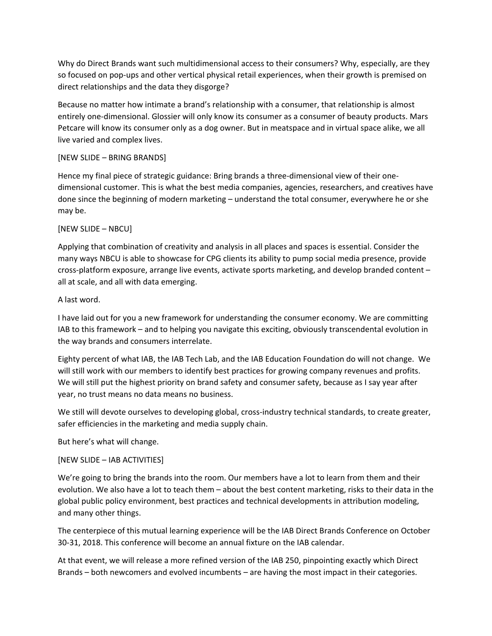Why do Direct Brands want such multidimensional access to their consumers? Why, especially, are they so focused on pop-ups and other vertical physical retail experiences, when their growth is premised on direct relationships and the data they disgorge?

Because no matter how intimate a brand's relationship with a consumer, that relationship is almost entirely one-dimensional. Glossier will only know its consumer as a consumer of beauty products. Mars Petcare will know its consumer only as a dog owner. But in meatspace and in virtual space alike, we all live varied and complex lives.

### [NEW SLIDE – BRING BRANDS]

Hence my final piece of strategic guidance: Bring brands a three-dimensional view of their onedimensional customer. This is what the best media companies, agencies, researchers, and creatives have done since the beginning of modern marketing – understand the total consumer, everywhere he or she may be.

#### [NEW SLIDE – NBCU]

Applying that combination of creativity and analysis in all places and spaces is essential. Consider the many ways NBCU is able to showcase for CPG clients its ability to pump social media presence, provide cross-platform exposure, arrange live events, activate sports marketing, and develop branded content – all at scale, and all with data emerging.

### A last word.

I have laid out for you a new framework for understanding the consumer economy. We are committing IAB to this framework – and to helping you navigate this exciting, obviously transcendental evolution in the way brands and consumers interrelate.

Eighty percent of what IAB, the IAB Tech Lab, and the IAB Education Foundation do will not change. We will still work with our members to identify best practices for growing company revenues and profits. We will still put the highest priority on brand safety and consumer safety, because as I say year after year, no trust means no data means no business.

We still will devote ourselves to developing global, cross-industry technical standards, to create greater, safer efficiencies in the marketing and media supply chain.

But here's what will change.

## [NEW SLIDE – IAB ACTIVITIES]

We're going to bring the brands into the room. Our members have a lot to learn from them and their evolution. We also have a lot to teach them – about the best content marketing, risks to their data in the global public policy environment, best practices and technical developments in attribution modeling, and many other things.

The centerpiece of this mutual learning experience will be the IAB Direct Brands Conference on October 30-31, 2018. This conference will become an annual fixture on the IAB calendar.

At that event, we will release a more refined version of the IAB 250, pinpointing exactly which Direct Brands – both newcomers and evolved incumbents – are having the most impact in their categories.